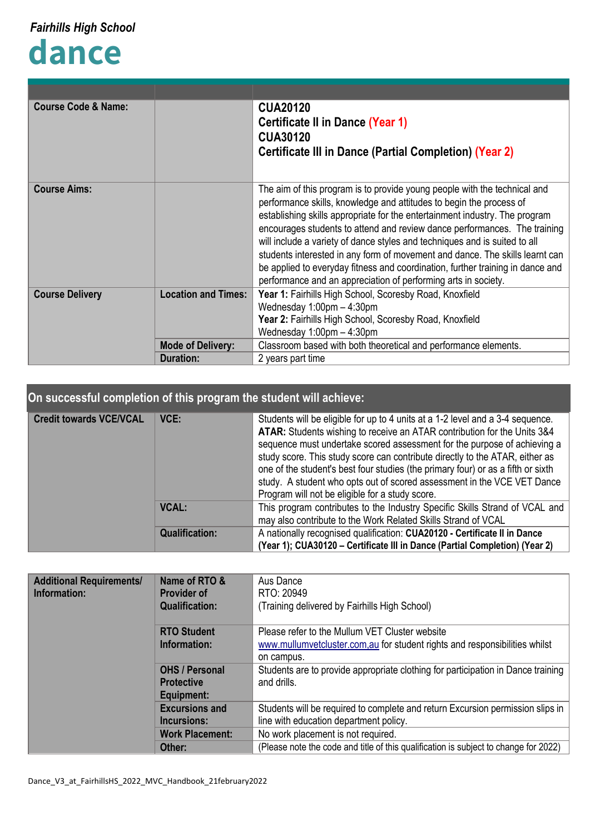## **dance**

| <b>Course Code &amp; Name:</b>                       |                          | <b>CUA20120</b>                                                                |
|------------------------------------------------------|--------------------------|--------------------------------------------------------------------------------|
|                                                      |                          | <b>Certificate II in Dance (Year 1)</b>                                        |
|                                                      |                          | <b>CUA30120</b>                                                                |
|                                                      |                          | <b>Certificate III in Dance (Partial Completion) (Year 2)</b>                  |
|                                                      |                          |                                                                                |
|                                                      |                          |                                                                                |
| <b>Course Aims:</b>                                  |                          | The aim of this program is to provide young people with the technical and      |
|                                                      |                          | performance skills, knowledge and attitudes to begin the process of            |
|                                                      |                          | establishing skills appropriate for the entertainment industry. The program    |
|                                                      |                          | encourages students to attend and review dance performances. The training      |
|                                                      |                          | will include a variety of dance styles and techniques and is suited to all     |
|                                                      |                          | students interested in any form of movement and dance. The skills learnt can   |
|                                                      |                          | be applied to everyday fitness and coordination, further training in dance and |
|                                                      |                          | performance and an appreciation of performing arts in society.                 |
| <b>Location and Times:</b><br><b>Course Delivery</b> |                          | Year 1: Fairhills High School, Scoresby Road, Knoxfield                        |
|                                                      |                          | Wednesday $1:00 \text{pm} - 4:30 \text{pm}$                                    |
|                                                      |                          | Year 2: Fairhills High School, Scoresby Road, Knoxfield                        |
|                                                      |                          | Wednesday $1:00 \text{pm} - 4:30 \text{pm}$                                    |
|                                                      | <b>Mode of Delivery:</b> | Classroom based with both theoretical and performance elements.                |
| <b>Duration:</b><br>2 years part time                |                          |                                                                                |

## **On successful completion of this program the student will achieve:**

| <b>Credit towards VCE/VCAL</b> | VCE:                  | Students will be eligible for up to 4 units at a 1-2 level and a 3-4 sequence.<br>ATAR: Students wishing to receive an ATAR contribution for the Units 3&4<br>sequence must undertake scored assessment for the purpose of achieving a<br>study score. This study score can contribute directly to the ATAR, either as<br>one of the student's best four studies (the primary four) or as a fifth or sixth<br>study. A student who opts out of scored assessment in the VCE VET Dance<br>Program will not be eligible for a study score. |
|--------------------------------|-----------------------|------------------------------------------------------------------------------------------------------------------------------------------------------------------------------------------------------------------------------------------------------------------------------------------------------------------------------------------------------------------------------------------------------------------------------------------------------------------------------------------------------------------------------------------|
|                                | <b>VCAL:</b>          | This program contributes to the Industry Specific Skills Strand of VCAL and<br>may also contribute to the Work Related Skills Strand of VCAL                                                                                                                                                                                                                                                                                                                                                                                             |
|                                | <b>Qualification:</b> | A nationally recognised qualification: CUA20120 - Certificate II in Dance<br>(Year 1); CUA30120 - Certificate III in Dance (Partial Completion) (Year 2)                                                                                                                                                                                                                                                                                                                                                                                 |

| <b>Additional Requirements/</b><br>Information: | Name of RTO &<br><b>Provider of</b><br><b>Qualification:</b> | Aus Dance<br>RTO: 20949<br>(Training delivered by Fairhills High School)                                                      |
|-------------------------------------------------|--------------------------------------------------------------|-------------------------------------------------------------------------------------------------------------------------------|
|                                                 | <b>RTO Student</b><br>Information:                           | Please refer to the Mullum VET Cluster website<br>www.mullumvetcluster.com, au for student rights and responsibilities whilst |
|                                                 | <b>OHS / Personal</b><br><b>Protective</b><br>Equipment:     | on campus.<br>Students are to provide appropriate clothing for participation in Dance training<br>and drills.                 |
|                                                 | <b>Excursions and</b><br>Incursions:                         | Students will be required to complete and return Excursion permission slips in<br>line with education department policy.      |
|                                                 | <b>Work Placement:</b><br>Other:                             | No work placement is not required.<br>(Please note the code and title of this qualification is subject to change for 2022)    |